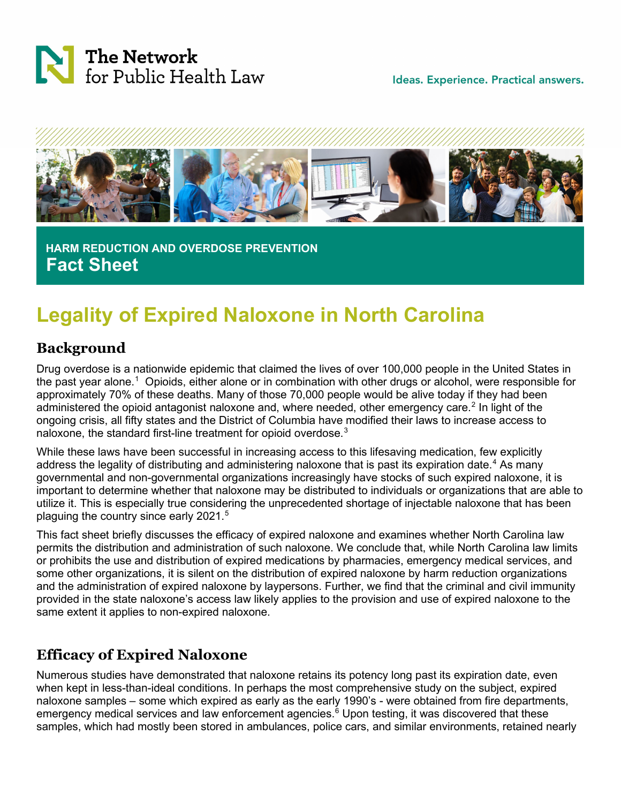

Ideas. Experience. Practical answers.



 **HARM REDUCTION AND OVERDOSE PREVENTION Fact Sheet**

# **Legality of Expired Naloxone in North Carolina**

#### **Background**

Drug overdose is a nationwide epidemic that claimed the lives of over 100,000 people in the United States in the past year alone.<sup>[1](#page-3-0)</sup> Opioids, either alone or in combination with other drugs or alcohol, were responsible for approximately 70% of these deaths. Many of those 70,000 people would be alive today if they had been administered the opioid antagonist naloxone and, where needed, other emergency care.<sup>[2](#page-3-1)</sup> In light of the ongoing crisis, all fifty states and the District of Columbia have modified their laws to increase access to naloxone, the standard first-line treatment for opioid overdose.<sup>[3](#page-3-2)</sup>

While these laws have been successful in increasing access to this lifesaving medication, few explicitly address the legality of distributing and administering naloxone that is past its expiration date.<sup>[4](#page-3-3)</sup> As many governmental and non-governmental organizations increasingly have stocks of such expired naloxone, it is important to determine whether that naloxone may be distributed to individuals or organizations that are able to utilize it. This is especially true considering the unprecedented shortage of injectable naloxone that has been plaguing the country since early 2021.<sup>[5](#page-3-4)</sup>

This fact sheet briefly discusses the efficacy of expired naloxone and examines whether North Carolina law permits the distribution and administration of such naloxone. We conclude that, while North Carolina law limits or prohibits the use and distribution of expired medications by pharmacies, emergency medical services, and some other organizations, it is silent on the distribution of expired naloxone by harm reduction organizations and the administration of expired naloxone by laypersons. Further, we find that the criminal and civil immunity provided in the state naloxone's access law likely applies to the provision and use of expired naloxone to the same extent it applies to non-expired naloxone.

## **Efficacy of Expired Naloxone**

Numerous studies have demonstrated that naloxone retains its potency long past its expiration date, even when kept in less-than-ideal conditions. In perhaps the most comprehensive study on the subject, expired naloxone samples – some which expired as early as the early 1990's - were obtained from fire departments, emergency medical services and law enforcement agencies. [6](#page-3-5) Upon testing, it was discovered that these samples, which had mostly been stored in ambulances, police cars, and similar environments, retained nearly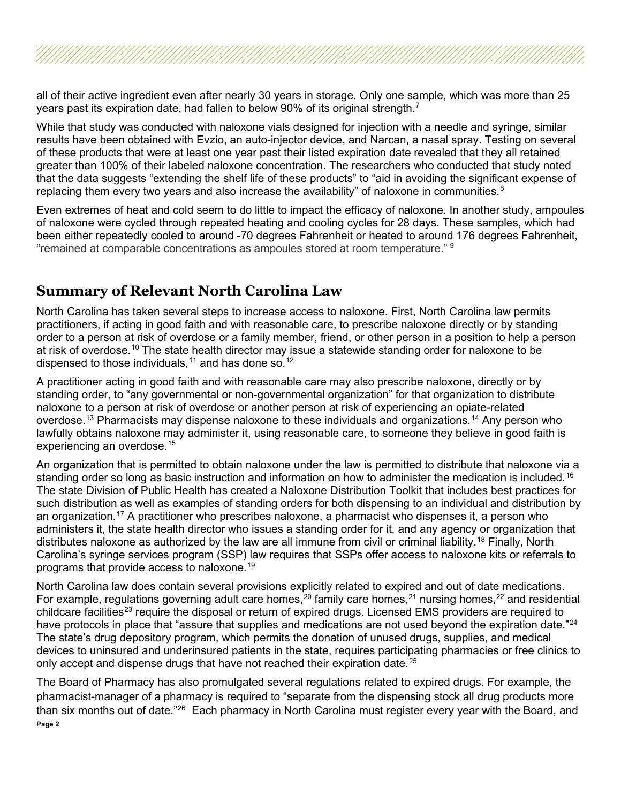all of their active ingredient even after nearly 30 years in storage. Only one sample, which was more than 25 years past its expiration date, had fallen to below 90% of its original strength.<sup>[7](#page-3-6)</sup>

While that study was conducted with naloxone vials designed for injection with a needle and syringe, similar results have been obtained with Evzio, an auto-injector device, and Narcan, a nasal spray. Testing on several of these products that were at least one year past their listed expiration date revealed that they all retained greater than 100% of their labeled naloxone concentration. The researchers who conducted that study noted that the data suggests "extending the shelf life of these products" to "aid in avoiding the significant expense of replacing them every two years and also increase the availability" of naloxone in communities.  $8$ 

Even extremes of heat and cold seem to do little to impact the efficacy of naloxone. In another study, ampoules of naloxone were cycled through repeated heating and cooling cycles for 28 days. These samples, which had been either repeatedly cooled to around -70 degrees Fahrenheit or heated to around 176 degrees Fahrenheit, "remained at comparable concentrations as ampoules stored at room temperature." <sup>[9](#page-3-8)</sup>

#### **Summary of Relevant North Carolina Law**

North Carolina has taken several steps to increase access to naloxone. First, North Carolina law permits practitioners, if acting in good faith and with reasonable care, to prescribe naloxone directly or by standing order to a person at risk of overdose or a family member, friend, or other person in a position to help a person at risk of overdose.<sup>[10](#page-3-9)</sup> The state health director may issue a statewide standing order for naloxone to be dispensed to those individuals,  $11$  and has done so.  $12$ 

A practitioner acting in good faith and with reasonable care may also prescribe naloxone, directly or by standing order, to "any governmental or non-governmental organization" for that organization to distribute naloxone to a person at risk of overdose or another person at risk of experiencing an opiate-related overdose.<sup>[13](#page-3-12)</sup> Pharmacists may dispense naloxone to these individuals and organizations.<sup>[14](#page-3-13)</sup> Any person who lawfully obtains naloxone may administer it, using reasonable care, to someone they believe in good faith is experiencing an overdose.<sup>[15](#page-3-14)</sup>

An organization that is permitted to obtain naloxone under the law is permitted to distribute that naloxone via a standing order so long as basic instruction and information on how to administer the medication is included.<sup>[16](#page-3-15)</sup> The state Division of Public Health has created a Naloxone Distribution Toolkit that includes best practices for such distribution as well as examples of standing orders for both dispensing to an individual and distribution by an organization.<sup>[17](#page-3-16)</sup> A practitioner who prescribes naloxone, a pharmacist who dispenses it, a person who administers it, the state health director who issues a standing order for it, and any agency or organization that distributes naloxone as authorized by the law are all immune from civil or criminal liability.<sup>[18](#page-3-17)</sup> Finally, North Carolina's syringe services program (SSP) law requires that SSPs offer access to naloxone kits or referrals to programs that provide access to naloxone.<sup>[19](#page-3-18)</sup>

North Carolina law does contain several provisions explicitly related to expired and out of date medications. For example, regulations governing adult care homes,<sup>[20](#page-3-19)</sup> family care homes,<sup>[21](#page-3-20)</sup> nursing homes,<sup>22</sup> and residential childcare facilities<sup>[23](#page-3-22)</sup> require the disposal or return of expired drugs. Licensed EMS providers are required to have protocols in place that "assure that supplies and medications are not used beyond the expiration date."<sup>[24](#page-3-23)</sup> The state's drug depository program, which permits the donation of unused drugs, supplies, and medical devices to uninsured and underinsured patients in the state, requires participating pharmacies or free clinics to only accept and dispense drugs that have not reached their expiration date.<sup>[25](#page-4-0)</sup>

**Page 2** The Board of Pharmacy has also promulgated several regulations related to expired drugs. For example, the pharmacist-manager of a pharmacy is required to "separate from the dispensing stock all drug products more than six months out of date."[26](#page-4-1) Each pharmacy in North Carolina must register every year with the Board, and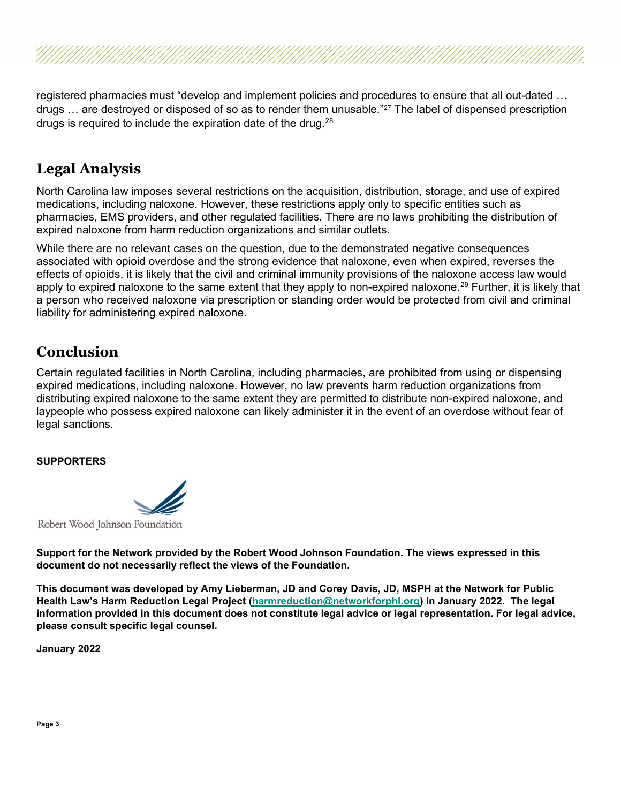registered pharmacies must "develop and implement policies and procedures to ensure that all out-dated … drugs ... are destroyed or disposed of so as to render them unusable."<sup>[27](#page-4-2)</sup> The label of dispensed prescription drugs is required to include the expiration date of the drug. $^{28}$  $^{28}$  $^{28}$ 

### **Legal Analysis**

North Carolina law imposes several restrictions on the acquisition, distribution, storage, and use of expired medications, including naloxone. However, these restrictions apply only to specific entities such as pharmacies, EMS providers, and other regulated facilities. There are no laws prohibiting the distribution of expired naloxone from harm reduction organizations and similar outlets.

While there are no relevant cases on the question, due to the demonstrated negative consequences associated with opioid overdose and the strong evidence that naloxone, even when expired, reverses the effects of opioids, it is likely that the civil and criminal immunity provisions of the naloxone access law would apply to expired naloxone to the same extent that they apply to non-expired naloxone.<sup>[29](#page-4-4)</sup> Further, it is likely that a person who received naloxone via prescription or standing order would be protected from civil and criminal liability for administering expired naloxone.

#### **Conclusion**

Certain regulated facilities in North Carolina, including pharmacies, are prohibited from using or dispensing expired medications, including naloxone. However, no law prevents harm reduction organizations from distributing expired naloxone to the same extent they are permitted to distribute non-expired naloxone, and laypeople who possess expired naloxone can likely administer it in the event of an overdose without fear of legal sanctions.

#### **SUPPORTERS**



Robert Wood Johnson Foundation

**Support for the Network provided by the Robert Wood Johnson Foundation. The views expressed in this document do not necessarily reflect the views of the Foundation.**

**This document was developed by Amy Lieberman, JD and Corey Davis, JD, MSPH at the Network for Public Health Law's Harm Reduction Legal Project [\(harmreduction@networkforphl.org\)](mailto:harmreduction@networkforphl.org) in January 2022. The legal information provided in this document does not constitute legal advice or legal representation. For legal advice, please consult specific legal counsel.**

**January 2022**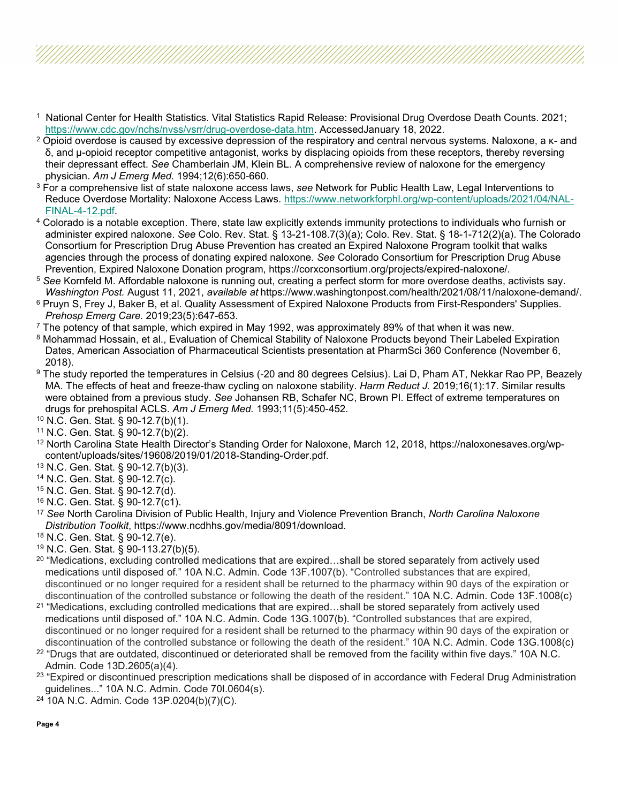- <span id="page-3-0"></span><sup>1</sup> National Center for Health Statistics. Vital Statistics Rapid Release: Provisional Drug Overdose Death Counts. 2021; [https://www.cdc.gov/nchs/nvss/vsrr/drug-overdose-data.htm.](https://www.cdc.gov/nchs/nvss/vsrr/drug-overdose-data.htm) AccessedJanuary 18, 2022.
- <span id="page-3-1"></span><sup>2</sup> Opioid overdose is caused by excessive depression of the respiratory and central nervous systems. Naloxone, a κ- and δ, and μ-opioid receptor competitive antagonist, works by displacing opioids from these receptors, thereby reversing their depressant effect. *See* Chamberlain JM, Klein BL. A comprehensive review of naloxone for the emergency physician. *Am J Emerg Med.* 1994;12(6):650-660.
- <span id="page-3-2"></span><sup>3</sup> For a comprehensive list of state naloxone access laws, *see* Network for Public Health Law, Legal Interventions to Reduce Overdose Mortality: Naloxone Access Laws. [https://www.networkforphl.org/wp-content/uploads/2021/04/NAL-](https://www.networkforphl.org/wp-content/uploads/2021/04/NAL-FINAL-4-12.pdf)[FINAL-4-12.pdf.](https://www.networkforphl.org/wp-content/uploads/2021/04/NAL-FINAL-4-12.pdf)
- <span id="page-3-3"></span><sup>4</sup> Colorado is a notable exception. There, state law explicitly extends immunity protections to individuals who furnish or administer expired naloxone. *See* Colo. Rev. Stat. § 13-21-108.7(3)(a); Colo. Rev. Stat. § 18-1-712(2)(a). The Colorado Consortium for Prescription Drug Abuse Prevention has created an Expired Naloxone Program toolkit that walks agencies through the process of donating expired naloxone. *See* Colorado Consortium for Prescription Drug Abuse Prevention, Expired Naloxone Donation program, https://corxconsortium.org/projects/expired-naloxone/.
- <span id="page-3-4"></span><sup>5</sup> *See* Kornfeld M. Affordable naloxone is running out, creating a perfect storm for more overdose deaths, activists say. *Washington Post.* August 11, 2021, *available at* https://www.washingtonpost.com/health/2021/08/11/naloxone-demand/.
- <span id="page-3-5"></span><sup>6</sup> Pruyn S, Frey J, Baker B, et al. Quality Assessment of Expired Naloxone Products from First-Responders' Supplies. *Prehosp Emerg Care.* 2019;23(5):647-653.
- <span id="page-3-6"></span> $7$  The potency of that sample, which expired in May 1992, was approximately 89% of that when it was new.
- <span id="page-3-7"></span>8 Mohammad Hossain, et al., Evaluation of Chemical Stability of Naloxone Products beyond Their Labeled Expiration Dates, American Association of Pharmaceutical Scientists presentation at PharmSci 360 Conference (November 6, 2018).
- <span id="page-3-8"></span><sup>9</sup> The study reported the temperatures in Celsius (-20 and 80 degrees Celsius). Lai D, Pham AT, Nekkar Rao PP, Beazely MA. The effects of heat and freeze-thaw cycling on naloxone stability. *Harm Reduct J.* 2019;16(1):17. Similar results were obtained from a previous study. *See* Johansen RB, Schafer NC, Brown PI. Effect of extreme temperatures on drugs for prehospital ACLS. *Am J Emerg Med.* 1993;11(5):450-452.
- <span id="page-3-9"></span><sup>10</sup> N.C. Gen. Stat. § 90-12.7(b)(1).
- <span id="page-3-10"></span><sup>11</sup> N.C. Gen. Stat. § 90-12.7(b)(2).
- <span id="page-3-11"></span><sup>12</sup> North Carolina State Health Director's Standing Order for Naloxone, March 12, 2018, https://naloxonesaves.org/wpcontent/uploads/sites/19608/2019/01/2018-Standing-Order.pdf.
- <span id="page-3-12"></span><sup>13</sup> N.C. Gen. Stat. § 90-12.7(b)(3).
- <span id="page-3-13"></span><sup>14</sup> N.C. Gen. Stat. § 90-12.7(c).
- <span id="page-3-14"></span><sup>15</sup> N.C. Gen. Stat. § 90-12.7(d).
- <span id="page-3-15"></span><sup>16</sup> N.C. Gen. Stat. § 90-12.7(c1).
- <span id="page-3-16"></span><sup>17</sup> *See* North Carolina Division of Public Health, Injury and Violence Prevention Branch, *North Carolina Naloxone Distribution Toolkit*, https://www.ncdhhs.gov/media/8091/download.
- <span id="page-3-17"></span><sup>18</sup> N.C. Gen. Stat. § 90-12.7(e).
- <span id="page-3-18"></span><sup>19</sup> N.C. Gen. Stat. § 90-113.27(b)(5).
- <span id="page-3-19"></span> $20$  "Medications, excluding controlled medications that are expired...shall be stored separately from actively used medications until disposed of." 10A N.C. Admin. Code 13F.1007(b). "Controlled substances that are expired, discontinued or no longer required for a resident shall be returned to the pharmacy within 90 days of the expiration or discontinuation of the controlled substance or following the death of the resident." 10A N.C. Admin. Code 13F.1008(c)
- <span id="page-3-20"></span><sup>21</sup> "Medications, excluding controlled medications that are expired...shall be stored separately from actively used medications until disposed of." 10A N.C. Admin. Code 13G.1007(b). "Controlled substances that are expired, discontinued or no longer required for a resident shall be returned to the pharmacy within 90 days of the expiration or discontinuation of the controlled substance or following the death of the resident." 10A N.C. Admin. Code 13G.1008(c)
- <span id="page-3-21"></span><sup>22</sup> "Drugs that are outdated, discontinued or deteriorated shall be removed from the facility within five days." 10A N.C. Admin. Code 13D.2605(a)(4).
- <span id="page-3-22"></span><sup>23</sup> "Expired or discontinued prescription medications shall be disposed of in accordance with Federal Drug Administration guidelines..." 10A N.C. Admin. Code 70I.0604(s).
- <span id="page-3-23"></span><sup>24</sup> 10A N.C. Admin. Code 13P.0204(b)(7)(C).